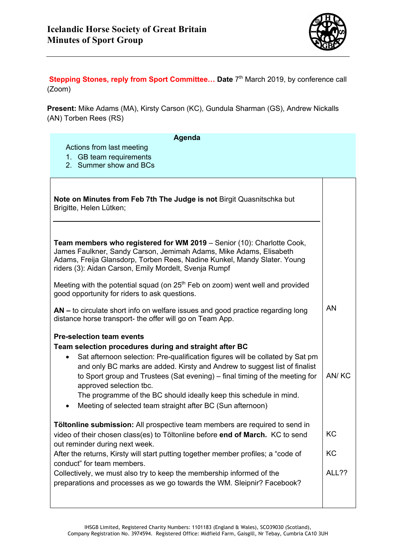

**Stepping Stones, reply from Sport Committee... Date**  $7<sup>th</sup>$  **March 2019, by conference call** (Zoom)

**Present:** Mike Adams (MA), Kirsty Carson (KC), Gundula Sharman (GS), Andrew Nickalls (AN) Torben Rees (RS)

| Agenda                                                                                                                                                                                                                                                                            |       |  |
|-----------------------------------------------------------------------------------------------------------------------------------------------------------------------------------------------------------------------------------------------------------------------------------|-------|--|
| Actions from last meeting<br>1. GB team requirements                                                                                                                                                                                                                              |       |  |
| 2. Summer show and BCs                                                                                                                                                                                                                                                            |       |  |
|                                                                                                                                                                                                                                                                                   |       |  |
| Note on Minutes from Feb 7th The Judge is not Birgit Quasnitschka but<br>Brigitte, Helen Lütken;                                                                                                                                                                                  |       |  |
|                                                                                                                                                                                                                                                                                   |       |  |
| Team members who registered for WM 2019 - Senior (10): Charlotte Cook,<br>James Faulkner, Sandy Carson, Jemimah Adams, Mike Adams, Elisabeth<br>Adams, Freija Glansdorp, Torben Rees, Nadine Kunkel, Mandy Slater. Young<br>riders (3): Aidan Carson, Emily Mordelt, Svenja Rumpf |       |  |
| Meeting with the potential squad (on $25th$ Feb on zoom) went well and provided<br>good opportunity for riders to ask questions.                                                                                                                                                  |       |  |
| AN – to circulate short info on welfare issues and good practice regarding long<br>distance horse transport- the offer will go on Team App.                                                                                                                                       | AN    |  |
| <b>Pre-selection team events</b>                                                                                                                                                                                                                                                  |       |  |
| Team selection procedures during and straight after BC<br>Sat afternoon selection: Pre-qualification figures will be collated by Sat pm<br>$\bullet$                                                                                                                              |       |  |
| and only BC marks are added. Kirsty and Andrew to suggest list of finalist                                                                                                                                                                                                        |       |  |
| to Sport group and Trustees (Sat evening) – final timing of the meeting for<br>approved selection tbc.                                                                                                                                                                            | AN/KC |  |
| The programme of the BC should ideally keep this schedule in mind.<br>Meeting of selected team straight after BC (Sun afternoon)                                                                                                                                                  |       |  |
|                                                                                                                                                                                                                                                                                   |       |  |
| Töltonline submission: All prospective team members are required to send in<br>video of their chosen class(es) to Töltonline before end of March. KC to send<br>out reminder during next week.                                                                                    | KC    |  |
| After the returns, Kirsty will start putting together member profiles; a "code of<br>conduct" for team members.                                                                                                                                                                   | KC    |  |
| Collectively, we must also try to keep the membership informed of the<br>preparations and processes as we go towards the WM. Sleipnir? Facebook?                                                                                                                                  | ALL?? |  |